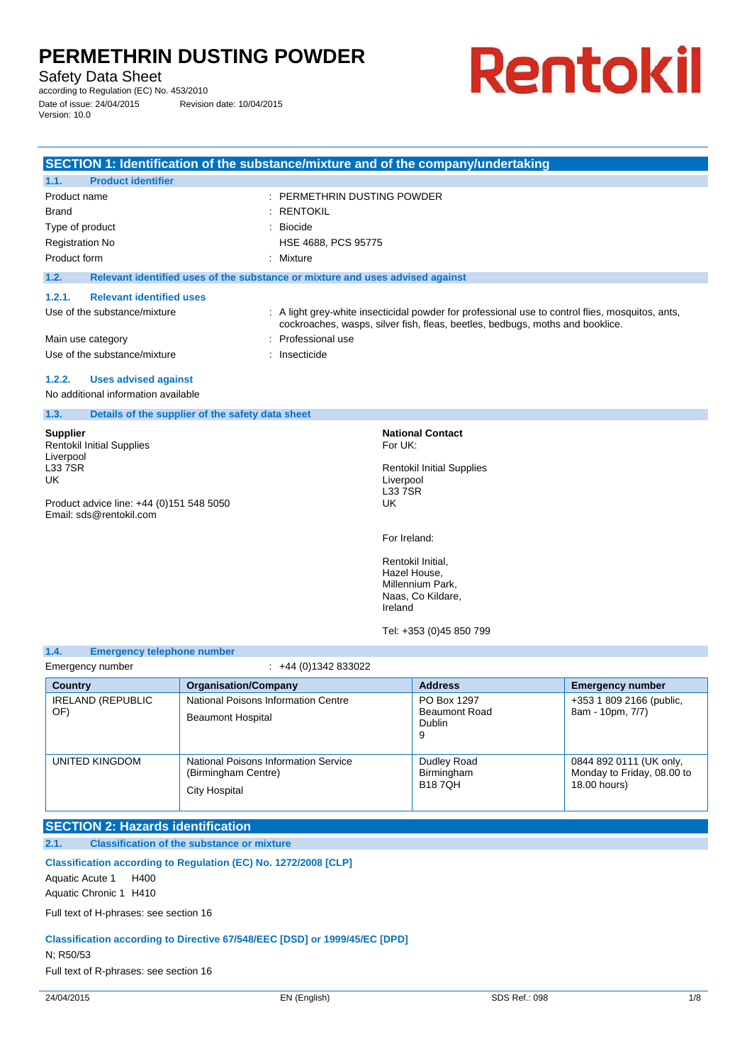Safety Data Sheet

according to Regulation (EC) No. 453/2010 Revision date: 10/04/2015 Date of issue: 24/04/2015<br>Version: 10.0

# Rentokil

|                                                                                                                                                                 | SECTION 1: Identification of the substance/mixture and of the company/undertaking |                                                                                                                                                                                   |
|-----------------------------------------------------------------------------------------------------------------------------------------------------------------|-----------------------------------------------------------------------------------|-----------------------------------------------------------------------------------------------------------------------------------------------------------------------------------|
| <b>Product identifier</b><br>1.1.                                                                                                                               |                                                                                   |                                                                                                                                                                                   |
| Product name                                                                                                                                                    | : PERMETHRIN DUSTING POWDER                                                       |                                                                                                                                                                                   |
| <b>Brand</b>                                                                                                                                                    | <b>RENTOKIL</b>                                                                   |                                                                                                                                                                                   |
| Type of product                                                                                                                                                 | <b>Biocide</b>                                                                    |                                                                                                                                                                                   |
| <b>Registration No</b>                                                                                                                                          | HSE 4688, PCS 95775                                                               |                                                                                                                                                                                   |
| Product form                                                                                                                                                    | Mixture                                                                           |                                                                                                                                                                                   |
| 1.2.                                                                                                                                                            | Relevant identified uses of the substance or mixture and uses advised against     |                                                                                                                                                                                   |
| 1.2.1.<br><b>Relevant identified uses</b>                                                                                                                       |                                                                                   |                                                                                                                                                                                   |
| Use of the substance/mixture                                                                                                                                    |                                                                                   | : A light grey-white insecticidal powder for professional use to control flies, mosquitos, ants,<br>cockroaches, wasps, silver fish, fleas, beetles, bedbugs, moths and booklice. |
| Main use category                                                                                                                                               | Professional use                                                                  |                                                                                                                                                                                   |
| Use of the substance/mixture                                                                                                                                    | Insecticide                                                                       |                                                                                                                                                                                   |
| <b>Uses advised against</b><br>1.2.2.<br>No additional information available                                                                                    |                                                                                   |                                                                                                                                                                                   |
| 1.3.                                                                                                                                                            | Details of the supplier of the safety data sheet                                  |                                                                                                                                                                                   |
| <b>Supplier</b><br><b>Rentokil Initial Supplies</b><br>Liverpool<br>L33 7SR<br><b>UK</b><br>Product advice line: +44 (0)151 548 5050<br>Email: sds@rentokil.com |                                                                                   | <b>National Contact</b><br>For UK:<br><b>Rentokil Initial Supplies</b><br>Liverpool<br><b>L33 7SR</b><br><b>UK</b>                                                                |
|                                                                                                                                                                 |                                                                                   | For Ireland:<br>Rentokil Initial,<br>Hazel House,<br>Millennium Park,<br>Naas, Co Kildare,<br>Ireland<br>Tel: +353 (0)45 850 799                                                  |

#### **1.4. Emergency telephone number**

| Emergency number                | +44 (0)1342 833022                                                                  |                                                    |                                                                       |
|---------------------------------|-------------------------------------------------------------------------------------|----------------------------------------------------|-----------------------------------------------------------------------|
| <b>Country</b>                  | <b>Organisation/Company</b>                                                         | <b>Address</b>                                     | <b>Emergency number</b>                                               |
| <b>IRELAND (REPUBLIC</b><br>OF) | National Poisons Information Centre<br><b>Beaumont Hospital</b>                     | PO Box 1297<br><b>Beaumont Road</b><br>Dublin<br>9 | +353 1 809 2166 (public,<br>8am - 10pm, 7/7)                          |
| UNITED KINGDOM                  | National Poisons Information Service<br>(Birmingham Centre)<br><b>City Hospital</b> | Dudley Road<br>Birmingham<br><b>B187QH</b>         | 0844 892 0111 (UK only,<br>Monday to Friday, 08.00 to<br>18.00 hours) |

### **SECTION 2: Hazards identification**

### **2.1. Classification of the substance or mixture**

### **Classification according to Regulation (EC) No. 1272/2008 [CLP]**

#### Aquatic Acute 1 H400

Aquatic Chronic 1 H410

Full text of H-phrases: see section 16

### **Classification according to Directive 67/548/EEC [DSD] or 1999/45/EC [DPD]**

N; R50/53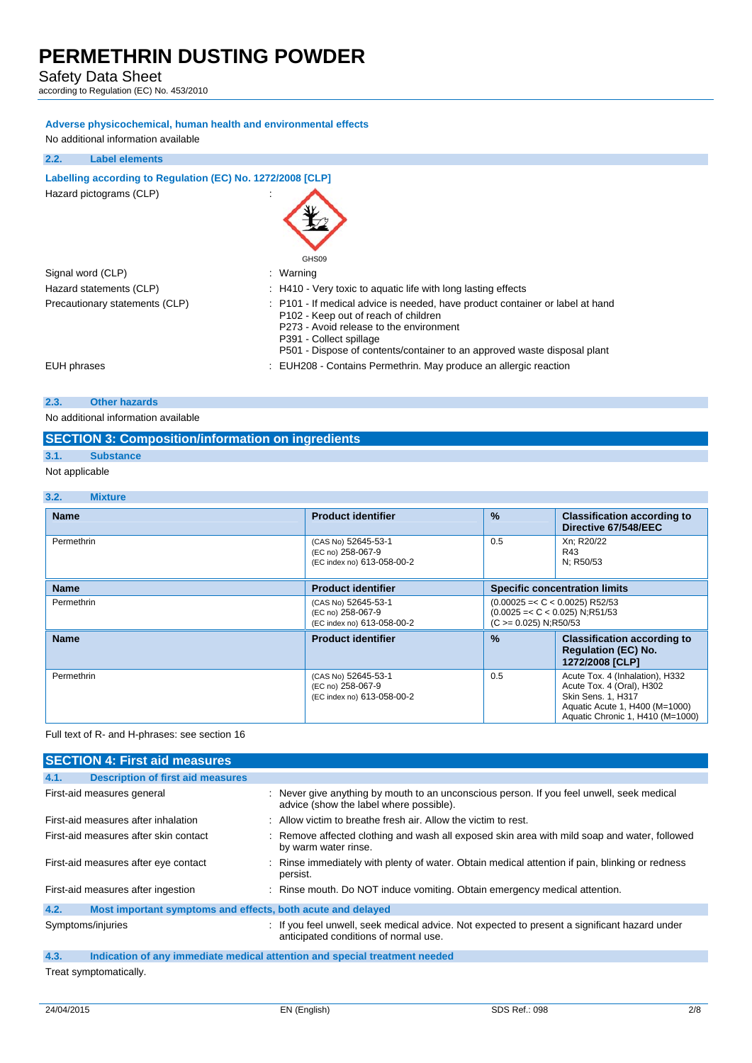Safety Data Sheet

according to Regulation (EC) No. 453/2010

#### **Adverse physicochemical, human health and environmental effects**

No additional information available

### **2.2. Label elements**

### **Labelling according to Regulation (EC) No. 1272/2008 [CLP]**

Hazard pictograms (CLP) :



|                                | GHS09                                                                                                                                                                                                                                                                   |
|--------------------------------|-------------------------------------------------------------------------------------------------------------------------------------------------------------------------------------------------------------------------------------------------------------------------|
| Signal word (CLP)              | : Warning                                                                                                                                                                                                                                                               |
| Hazard statements (CLP)        | : H410 - Very toxic to aquatic life with long lasting effects                                                                                                                                                                                                           |
| Precautionary statements (CLP) | : P101 - If medical advice is needed, have product container or label at hand<br>P102 - Keep out of reach of children<br>P273 - Avoid release to the environment<br>P391 - Collect spillage<br>P501 - Dispose of contents/container to an approved waste disposal plant |
| EUH phrases                    | : EUH208 - Contains Permethrin. May produce an allergic reaction                                                                                                                                                                                                        |
|                                |                                                                                                                                                                                                                                                                         |

### **2.3. Other hazards**

No additional information available

### **SECTION 3: Composition/information on ingredients**

### **3.1. Substance**

Not applicable

#### **3.2. Mixture**

| <b>Name</b> | <b>Product identifier</b>                                              | $\frac{9}{6}$            | <b>Classification according to</b><br>Directive 67/548/EEC                                                                                               |
|-------------|------------------------------------------------------------------------|--------------------------|----------------------------------------------------------------------------------------------------------------------------------------------------------|
| Permethrin  | (CAS No) 52645-53-1<br>(EC no) 258-067-9<br>(EC index no) 613-058-00-2 | 0.5                      | Xn: R20/22<br>R43<br>N; R50/53                                                                                                                           |
| <b>Name</b> | <b>Product identifier</b>                                              |                          | <b>Specific concentration limits</b>                                                                                                                     |
| Permethrin  | (CAS No) 52645-53-1<br>(EC no) 258-067-9<br>(EC index no) 613-058-00-2 | $(C \ge 0.025)$ N;R50/53 | $(0.00025=< C < 0.0025)$ R52/53<br>$(0.0025 = < C < 0.025)$ N;R51/53                                                                                     |
| <b>Name</b> | <b>Product identifier</b>                                              | $\%$                     | <b>Classification according to</b><br><b>Regulation (EC) No.</b><br>1272/2008 [CLP]                                                                      |
| Permethrin  | (CAS No) 52645-53-1<br>(EC no) 258-067-9<br>(EC index no) 613-058-00-2 | 0.5                      | Acute Tox. 4 (Inhalation), H332<br>Acute Tox. 4 (Oral), H302<br>Skin Sens. 1, H317<br>Aquatic Acute 1, H400 (M=1000)<br>Aquatic Chronic 1, H410 (M=1000) |

### Full text of R- and H-phrases: see section 16

| <b>SECTION 4: First aid measures</b>                                |                                                                                                                                        |
|---------------------------------------------------------------------|----------------------------------------------------------------------------------------------------------------------------------------|
| 4.1.<br><b>Description of first aid measures</b>                    |                                                                                                                                        |
| First-aid measures general                                          | : Never give anything by mouth to an unconscious person. If you feel unwell, seek medical<br>advice (show the label where possible).   |
| First-aid measures after inhalation                                 | : Allow victim to breathe fresh air. Allow the victim to rest.                                                                         |
| First-aid measures after skin contact                               | : Remove affected clothing and wash all exposed skin area with mild soap and water, followed<br>by warm water rinse.                   |
| First-aid measures after eye contact                                | : Rinse immediately with plenty of water. Obtain medical attention if pain, blinking or redness<br>persist.                            |
| First-aid measures after ingestion                                  | Rinse mouth. Do NOT induce vomiting. Obtain emergency medical attention.                                                               |
| Most important symptoms and effects, both acute and delayed<br>4.2. |                                                                                                                                        |
| Symptoms/injuries                                                   | : If you feel unwell, seek medical advice. Not expected to present a significant hazard under<br>anticipated conditions of normal use. |

**4.3. Indication of any immediate medical attention and special treatment needed**  Treat symptomatically.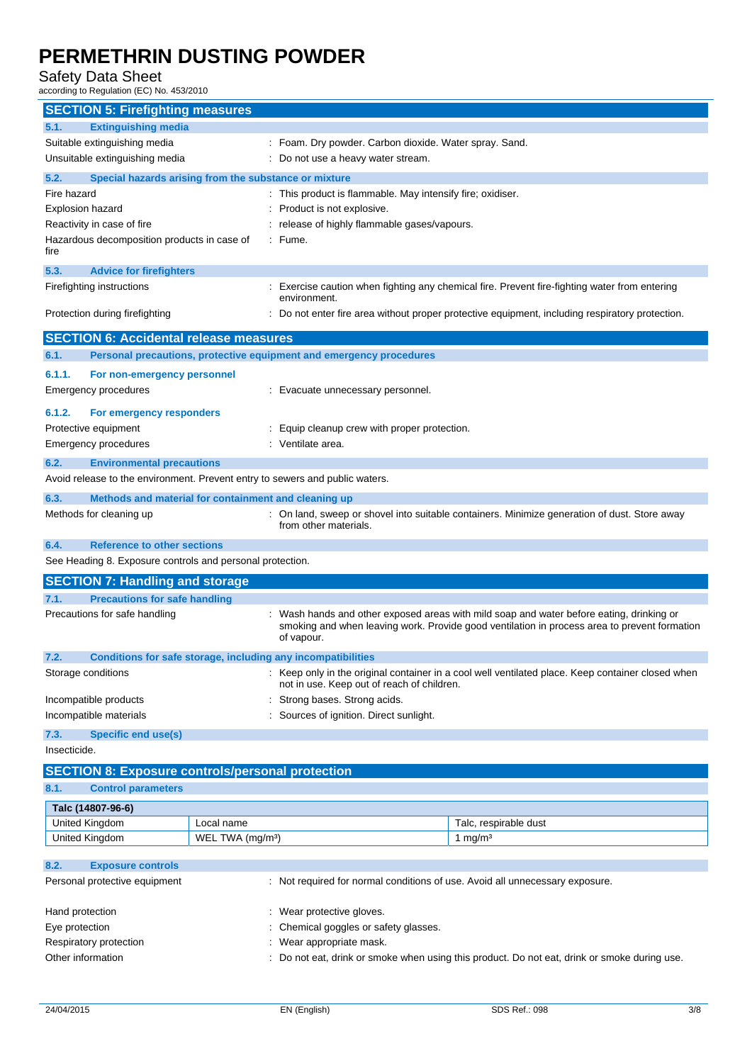Safety Data Sheet

according to Regulation (EC) No. 453/2010

| <b>SECTION 5: Firefighting measures</b>                           |                                                                                                                                                                                                        |  |  |
|-------------------------------------------------------------------|--------------------------------------------------------------------------------------------------------------------------------------------------------------------------------------------------------|--|--|
| <b>Extinguishing media</b><br>5.1.                                |                                                                                                                                                                                                        |  |  |
| Suitable extinguishing media                                      | : Foam. Dry powder. Carbon dioxide. Water spray. Sand.                                                                                                                                                 |  |  |
| Unsuitable extinguishing media                                    | Do not use a heavy water stream.                                                                                                                                                                       |  |  |
| 5.2.                                                              | Special hazards arising from the substance or mixture                                                                                                                                                  |  |  |
| Fire hazard                                                       | This product is flammable. May intensify fire; oxidiser.                                                                                                                                               |  |  |
| <b>Explosion hazard</b>                                           | Product is not explosive.                                                                                                                                                                              |  |  |
| Reactivity in case of fire                                        | release of highly flammable gases/vapours.                                                                                                                                                             |  |  |
| Hazardous decomposition products in case of                       | : Fume.                                                                                                                                                                                                |  |  |
| fire                                                              |                                                                                                                                                                                                        |  |  |
| 5.3.<br><b>Advice for firefighters</b>                            |                                                                                                                                                                                                        |  |  |
| Firefighting instructions                                         | Exercise caution when fighting any chemical fire. Prevent fire-fighting water from entering<br>environment.                                                                                            |  |  |
| Protection during firefighting                                    | : Do not enter fire area without proper protective equipment, including respiratory protection.                                                                                                        |  |  |
| <b>SECTION 6: Accidental release measures</b>                     |                                                                                                                                                                                                        |  |  |
| 6.1.                                                              | Personal precautions, protective equipment and emergency procedures                                                                                                                                    |  |  |
| 6.1.1.<br>For non-emergency personnel                             |                                                                                                                                                                                                        |  |  |
| <b>Emergency procedures</b>                                       | Evacuate unnecessary personnel.                                                                                                                                                                        |  |  |
| 6.1.2.                                                            |                                                                                                                                                                                                        |  |  |
| For emergency responders<br>Protective equipment                  | Equip cleanup crew with proper protection.                                                                                                                                                             |  |  |
| <b>Emergency procedures</b>                                       | Ventilate area.                                                                                                                                                                                        |  |  |
|                                                                   |                                                                                                                                                                                                        |  |  |
| 6.2.<br><b>Environmental precautions</b>                          | Avoid release to the environment. Prevent entry to sewers and public waters.                                                                                                                           |  |  |
|                                                                   |                                                                                                                                                                                                        |  |  |
| 6.3.                                                              | Methods and material for containment and cleaning up                                                                                                                                                   |  |  |
| Methods for cleaning up                                           | : On land, sweep or shovel into suitable containers. Minimize generation of dust. Store away<br>from other materials.                                                                                  |  |  |
| 6.4.<br><b>Reference to other sections</b>                        |                                                                                                                                                                                                        |  |  |
|                                                                   |                                                                                                                                                                                                        |  |  |
| See Heading 8. Exposure controls and personal protection.         |                                                                                                                                                                                                        |  |  |
| <b>SECTION 7: Handling and storage</b>                            |                                                                                                                                                                                                        |  |  |
| 7.1.<br><b>Precautions for safe handling</b>                      |                                                                                                                                                                                                        |  |  |
| Precautions for safe handling                                     | : Wash hands and other exposed areas with mild soap and water before eating, drinking or<br>smoking and when leaving work. Provide good ventilation in process area to prevent formation<br>of vapour. |  |  |
| 7.2.                                                              | <b>Conditions for safe storage, including any incompatibilities</b>                                                                                                                                    |  |  |
| Storage conditions                                                | : Keep only in the original container in a cool well ventilated place. Keep container closed when                                                                                                      |  |  |
|                                                                   | not in use. Keep out of reach of children.                                                                                                                                                             |  |  |
| Incompatible products                                             | Strong bases. Strong acids.                                                                                                                                                                            |  |  |
| Incompatible materials                                            | Sources of ignition. Direct sunlight.                                                                                                                                                                  |  |  |
| <b>Specific end use(s)</b><br>7.3.                                |                                                                                                                                                                                                        |  |  |
| Insecticide.                                                      |                                                                                                                                                                                                        |  |  |
|                                                                   | <b>SECTION 8: Exposure controls/personal protection</b>                                                                                                                                                |  |  |
| 8.1.<br><b>Control parameters</b>                                 |                                                                                                                                                                                                        |  |  |
| Talc (14807-96-6)                                                 |                                                                                                                                                                                                        |  |  |
| United Kingdom                                                    | Local name<br>Talc, respirable dust                                                                                                                                                                    |  |  |
| United Kingdom                                                    | WEL TWA (mg/m <sup>3</sup> )<br>1 mg/ $m3$                                                                                                                                                             |  |  |
|                                                                   |                                                                                                                                                                                                        |  |  |
| 8.2.<br><b>Exposure controls</b><br>Personal protective equipment | : Not required for normal conditions of use. Avoid all unnecessary exposure.                                                                                                                           |  |  |
|                                                                   |                                                                                                                                                                                                        |  |  |
| Hand protection                                                   | Wear protective gloves.                                                                                                                                                                                |  |  |
| Eye protection                                                    | Chemical goggles or safety glasses.                                                                                                                                                                    |  |  |
| Respiratory protection<br>Other information                       | Wear appropriate mask.<br>Do not eat, drink or smoke when using this product. Do not eat, drink or smoke during use.                                                                                   |  |  |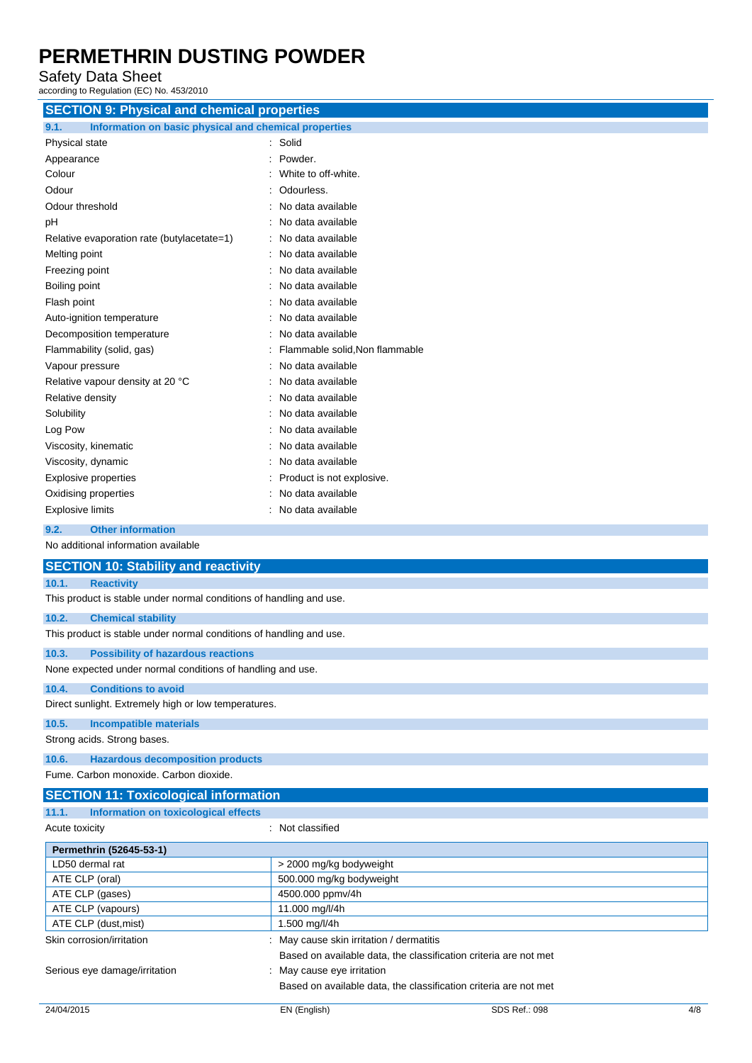Safety Data Sheet

according to Regulation (EC) No. 453/2010

| <b>SECTION 9: Physical and chemical properties</b>                  |                                                                                                            |  |
|---------------------------------------------------------------------|------------------------------------------------------------------------------------------------------------|--|
| Information on basic physical and chemical properties<br>9.1.       |                                                                                                            |  |
| Physical state                                                      | : Solid                                                                                                    |  |
| Appearance                                                          | Powder.                                                                                                    |  |
| Colour                                                              | White to off-white.                                                                                        |  |
| Odour                                                               | Odourless.                                                                                                 |  |
| Odour threshold                                                     | No data available                                                                                          |  |
| pH                                                                  | No data available                                                                                          |  |
| Relative evaporation rate (butylacetate=1)                          | No data available                                                                                          |  |
| Melting point                                                       | No data available                                                                                          |  |
| Freezing point                                                      | No data available                                                                                          |  |
| Boiling point                                                       | No data available                                                                                          |  |
| Flash point                                                         | No data available                                                                                          |  |
| Auto-ignition temperature                                           | No data available                                                                                          |  |
| Decomposition temperature                                           | No data available                                                                                          |  |
| Flammability (solid, gas)                                           | Flammable solid, Non flammable                                                                             |  |
| Vapour pressure                                                     | No data available                                                                                          |  |
| Relative vapour density at 20 °C                                    | No data available                                                                                          |  |
| Relative density                                                    | No data available                                                                                          |  |
| Solubility                                                          | No data available                                                                                          |  |
| Log Pow                                                             | No data available                                                                                          |  |
| Viscosity, kinematic                                                | No data available                                                                                          |  |
| Viscosity, dynamic                                                  | No data available                                                                                          |  |
| <b>Explosive properties</b>                                         | Product is not explosive.                                                                                  |  |
| Oxidising properties                                                | No data available                                                                                          |  |
| <b>Explosive limits</b>                                             | No data available                                                                                          |  |
| 9.2.<br><b>Other information</b>                                    |                                                                                                            |  |
| No additional information available                                 |                                                                                                            |  |
| <b>SECTION 10: Stability and reactivity</b>                         |                                                                                                            |  |
| 10.1.<br><b>Reactivity</b>                                          |                                                                                                            |  |
| This product is stable under normal conditions of handling and use. |                                                                                                            |  |
| 10.2.<br><b>Chemical stability</b>                                  |                                                                                                            |  |
| This product is stable under normal conditions of handling and use. |                                                                                                            |  |
| 10.3.<br><b>Possibility of hazardous reactions</b>                  |                                                                                                            |  |
| None expected under normal conditions of handling and use.          |                                                                                                            |  |
|                                                                     |                                                                                                            |  |
| 10.4.<br><b>Conditions to avoid</b>                                 |                                                                                                            |  |
| Direct sunlight. Extremely high or low temperatures.                |                                                                                                            |  |
| 10.5.<br><b>Incompatible materials</b>                              |                                                                                                            |  |
| Strong acids. Strong bases.                                         |                                                                                                            |  |
| <b>Hazardous decomposition products</b><br>10.6.                    |                                                                                                            |  |
| Fume. Carbon monoxide. Carbon dioxide.                              |                                                                                                            |  |
| <b>SECTION 11: Toxicological information</b>                        |                                                                                                            |  |
| 11.1.<br>Information on toxicological effects                       |                                                                                                            |  |
| Acute toxicity                                                      | : Not classified                                                                                           |  |
| Permethrin (52645-53-1)                                             |                                                                                                            |  |
| LD50 dermal rat                                                     | > 2000 mg/kg bodyweight                                                                                    |  |
| ATE CLP (oral)                                                      | 500.000 mg/kg bodyweight                                                                                   |  |
| ATE CLP (gases)                                                     | 4500.000 ppmv/4h                                                                                           |  |
| ATE CLP (vapours)                                                   | 11.000 mg/l/4h                                                                                             |  |
| ATE CLP (dust, mist)                                                | 1.500 mg/l/4h                                                                                              |  |
| Skin corrosion/irritation                                           | May cause skin irritation / dermatitis<br>Based on available data, the classification criteria are not met |  |
| Serious eye damage/irritation                                       | May cause eye irritation                                                                                   |  |
|                                                                     |                                                                                                            |  |

Based on available data, the classification criteria are not met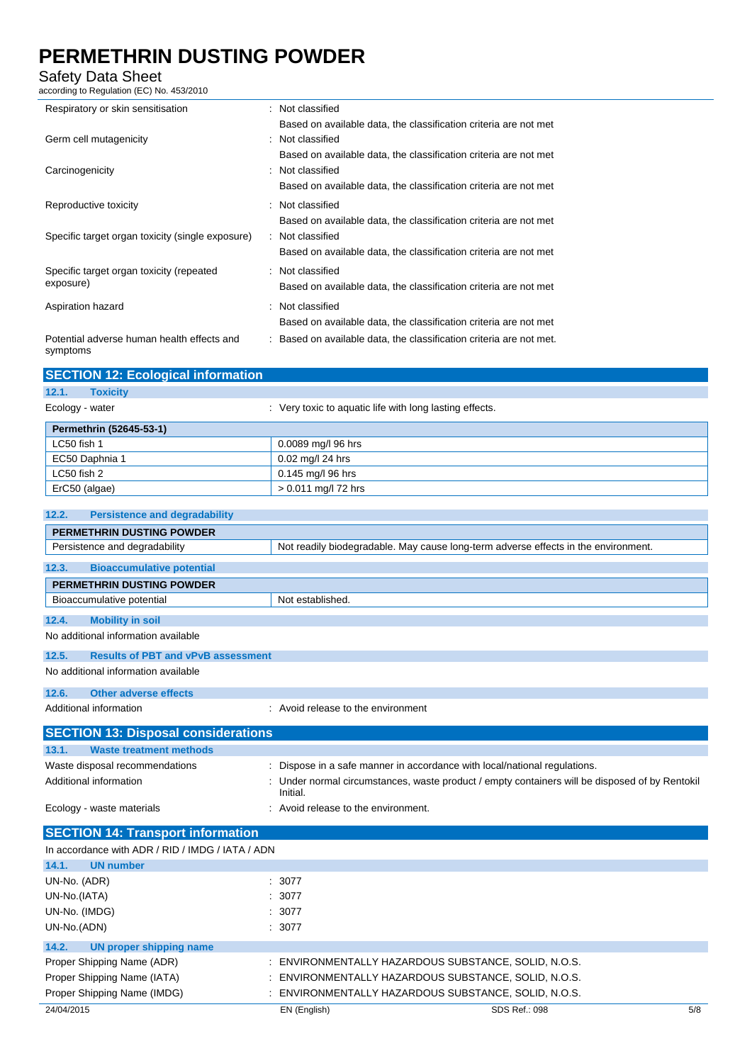### Safety Data Sheet

according to Regulation (EC) No. 453/2010

| Respiratory or skin sensitisation                      | Not classified                                                      |
|--------------------------------------------------------|---------------------------------------------------------------------|
|                                                        | Based on available data, the classification criteria are not met    |
| Germ cell mutagenicity                                 | : Not classified                                                    |
|                                                        | Based on available data, the classification criteria are not met    |
| Carcinogenicity                                        | : Not classified                                                    |
|                                                        | Based on available data, the classification criteria are not met    |
| Reproductive toxicity                                  | : Not classified                                                    |
|                                                        | Based on available data, the classification criteria are not met    |
| Specific target organ toxicity (single exposure)       | Not classified                                                      |
|                                                        | Based on available data, the classification criteria are not met    |
| Specific target organ toxicity (repeated               | Not classified                                                      |
| exposure)                                              | Based on available data, the classification criteria are not met    |
| Aspiration hazard                                      | : Not classified                                                    |
|                                                        | Based on available data, the classification criteria are not met    |
| Potential adverse human health effects and<br>symptoms | : Based on available data, the classification criteria are not met. |

| <b>SECTION 12: Ecological information</b> |                                                         |
|-------------------------------------------|---------------------------------------------------------|
| 12.1.<br><b>Toxicity</b>                  |                                                         |
| Ecology - water                           | : Very toxic to aquatic life with long lasting effects. |
| Permethrin (52645-53-1)                   |                                                         |
| LC50 fish 1                               | 0.0089 mg/l 96 hrs                                      |
| EC50 Daphnia 1                            | 0.02 mg/l 24 hrs                                        |
| LC50 fish 2                               | 0.145 mg/l 96 hrs                                       |
| ErC50 (algae)                             | $> 0.011$ mg/l 72 hrs                                   |
|                                           |                                                         |

| <b>Persistence and degradability</b><br>12.2.      |                                                                                                          |  |
|----------------------------------------------------|----------------------------------------------------------------------------------------------------------|--|
| <b>PERMETHRIN DUSTING POWDER</b>                   |                                                                                                          |  |
| Persistence and degradability                      | Not readily biodegradable. May cause long-term adverse effects in the environment.                       |  |
| 12.3.<br><b>Bioaccumulative potential</b>          |                                                                                                          |  |
| <b>PERMETHRIN DUSTING POWDER</b>                   |                                                                                                          |  |
| Bioaccumulative potential                          | Not established.                                                                                         |  |
| 12.4.<br><b>Mobility in soil</b>                   |                                                                                                          |  |
| No additional information available                |                                                                                                          |  |
| 12.5.<br><b>Results of PBT and vPvB assessment</b> |                                                                                                          |  |
| No additional information available                |                                                                                                          |  |
| 12.6.<br><b>Other adverse effects</b>              |                                                                                                          |  |
| Additional information                             | : Avoid release to the environment                                                                       |  |
| <b>SECTION 13: Disposal considerations</b>         |                                                                                                          |  |
| 13.1.<br><b>Waste treatment methods</b>            |                                                                                                          |  |
| Waste disposal recommendations                     | Dispose in a safe manner in accordance with local/national regulations.                                  |  |
| Additional information                             | Under normal circumstances, waste product / empty containers will be disposed of by Rentokil<br>Initial. |  |
| Ecology - waste materials                          | Avoid release to the environment.                                                                        |  |
| <b>SECTION 14: Transport information</b>           |                                                                                                          |  |
| In accordance with ADR / RID / IMDG / IATA / ADN   |                                                                                                          |  |
| 14.1.<br><b>UN number</b>                          |                                                                                                          |  |
| UN-No. (ADR)                                       | 3077                                                                                                     |  |
| UN-No.(IATA)                                       | 3077                                                                                                     |  |
| UN-No. (IMDG)                                      | 3077                                                                                                     |  |
| UN-No.(ADN)                                        | 3077                                                                                                     |  |
| 14.2.<br><b>UN proper shipping name</b>            |                                                                                                          |  |
| Proper Shipping Name (ADR)                         | ENVIRONMENTALLY HAZARDOUS SUBSTANCE, SOLID, N.O.S.                                                       |  |
| Proper Shipping Name (IATA)                        | ENVIRONMENTALLY HAZARDOUS SUBSTANCE, SOLID, N.O.S.                                                       |  |
| Proper Shipping Name (IMDG)                        | ENVIRONMENTALLY HAZARDOUS SUBSTANCE, SOLID, N.O.S.                                                       |  |
| 24/04/2015                                         | EN (English)<br>SDS Ref.: 098<br>5/8                                                                     |  |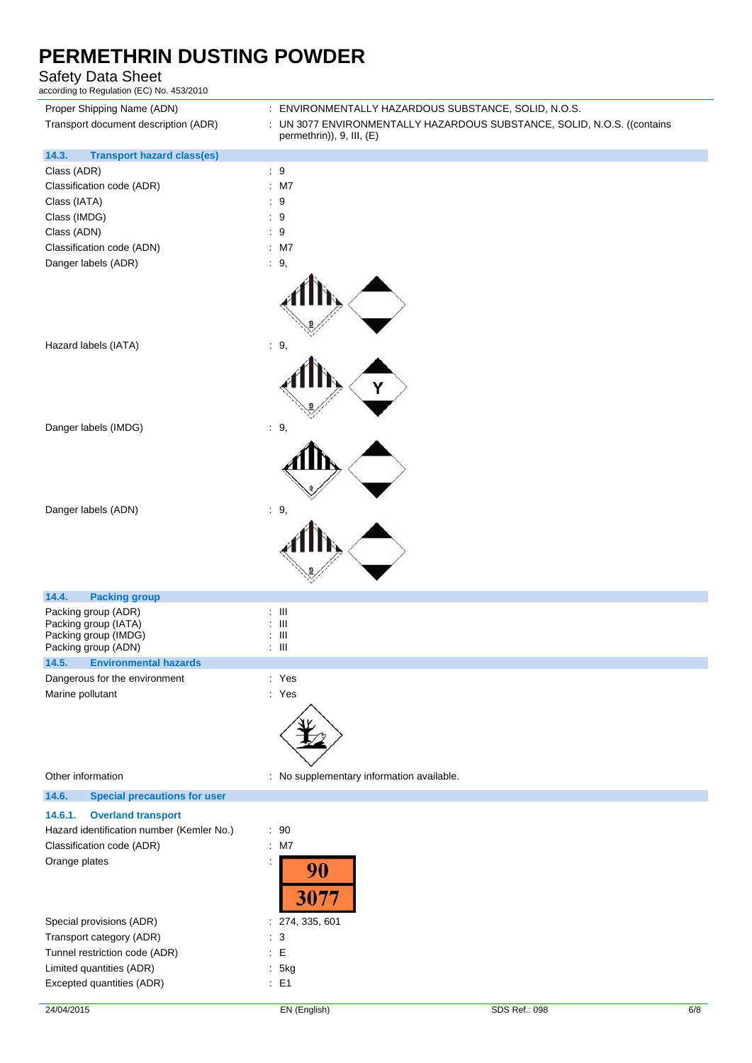### Safety Data Sheet

according to Regulation (EC) No. 453/2010

| Proper Shipping Name (ADN)                   | : ENVIRONMENTALLY HAZARDOUS SUBSTANCE, SOLID, N.O.S.                    |
|----------------------------------------------|-------------------------------------------------------------------------|
| Transport document description (ADR)         | : UN 3077 ENVIRONMENTALLY HAZARDOUS SUBSTANCE, SOLID, N.O.S. ((contains |
|                                              | permethrin)), 9, III, (E)                                               |
|                                              |                                                                         |
| 14.3.<br><b>Transport hazard class(es)</b>   |                                                                         |
| Class (ADR)                                  | $\therefore$ 9                                                          |
| Classification code (ADR)                    | $:$ M7                                                                  |
| Class (IATA)                                 | $\therefore$ 9                                                          |
| Class (IMDG)                                 | $\therefore$ 9                                                          |
| Class (ADN)                                  | $\therefore$ 9                                                          |
| Classification code (ADN)                    | $:$ M7                                                                  |
| Danger labels (ADR)                          | : 9,                                                                    |
|                                              |                                                                         |
| Hazard labels (IATA)                         | $\therefore$ 9,                                                         |
| Danger labels (IMDG)                         | $\therefore$ 9,                                                         |
|                                              |                                                                         |
| Danger labels (ADN)                          | : 9,                                                                    |
|                                              |                                                                         |
| 14.4.<br><b>Packing group</b>                |                                                                         |
| Packing group (ADR)                          | Ш                                                                       |
| Packing group (IATA)                         | Ш                                                                       |
| Packing group (IMDG)<br>Packing group (ADN)  | Ш<br>$\mathbf{H}$<br>÷                                                  |
| 14.5. Environmental hazards                  |                                                                         |
| Dangerous for the environment                | : Yes                                                                   |
| Marine pollutant                             | : Yes                                                                   |
|                                              |                                                                         |
|                                              |                                                                         |
| Other information                            | : No supplementary information available.                               |
| 14.6.<br><b>Special precautions for user</b> |                                                                         |
| 14.6.1.<br><b>Overland transport</b>         |                                                                         |
| Hazard identification number (Kemler No.)    | $\therefore$ 90                                                         |
| Classification code (ADR)                    | $:$ M7                                                                  |
| Orange plates                                |                                                                         |
|                                              | 90<br>3077                                                              |
| Special provisions (ADR)                     | : 274, 335, 601                                                         |
| Transport category (ADR)                     | 3                                                                       |
| Tunnel restriction code (ADR)                | $\mathsf E$                                                             |
| Limited quantities (ADR)                     | 5kg<br>$\ddot{\cdot}$                                                   |
| Excepted quantities (ADR)                    | $\therefore$ E1                                                         |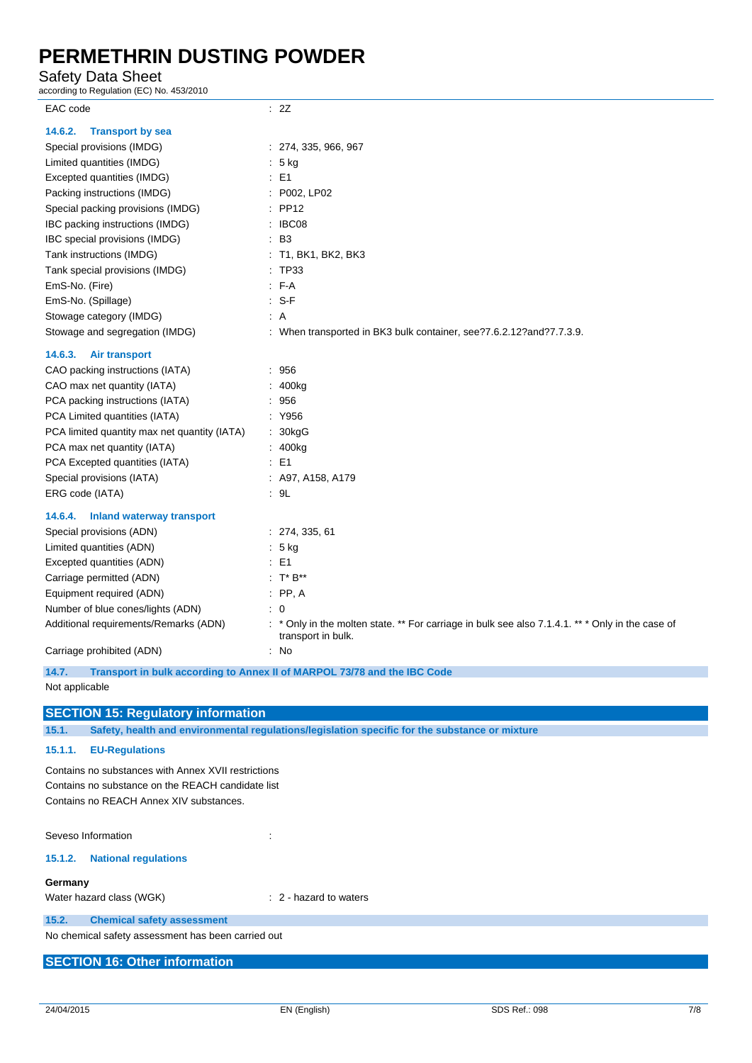Safety Data Sheet

according to Regulation (EC) No. 453/2010

| EAC code                                     | : 2Z                                                                                             |
|----------------------------------------------|--------------------------------------------------------------------------------------------------|
|                                              |                                                                                                  |
| 14.6.2.<br><b>Transport by sea</b>           |                                                                                                  |
| Special provisions (IMDG)                    | : 274, 335, 966, 967                                                                             |
| Limited quantities (IMDG)                    | $: 5$ kg                                                                                         |
| Excepted quantities (IMDG)                   | E1                                                                                               |
| Packing instructions (IMDG)                  | : P002, LP02                                                                                     |
| Special packing provisions (IMDG)            | $\therefore$ PP12                                                                                |
| IBC packing instructions (IMDG)              | : IBCO8                                                                                          |
| IBC special provisions (IMDG)                | : B3                                                                                             |
| Tank instructions (IMDG)                     | : T1, BK1, BK2, BK3                                                                              |
| Tank special provisions (IMDG)               | : TP33                                                                                           |
| EmS-No. (Fire)                               | $F-A$                                                                                            |
| EmS-No. (Spillage)                           | $: S-F$                                                                                          |
| Stowage category (IMDG)                      | : A                                                                                              |
| Stowage and segregation (IMDG)               | : When transported in BK3 bulk container, see?7.6.2.12?and?7.7.3.9.                              |
| 14.6.3. Air transport                        |                                                                                                  |
| CAO packing instructions (IATA)              | .956                                                                                             |
| CAO max net quantity (IATA)                  | : 400kg                                                                                          |
| PCA packing instructions (IATA)              | : 956                                                                                            |
| PCA Limited quantities (IATA)                | : Y956                                                                                           |
| PCA limited quantity max net quantity (IATA) | : 30kgG                                                                                          |
| PCA max net quantity (IATA)                  | : 400kg                                                                                          |
| PCA Excepted quantities (IATA)               | : E1                                                                                             |
| Special provisions (IATA)                    | : A97, A158, A179                                                                                |
| ERG code (IATA)                              | : 9L                                                                                             |
| 14.6.4.<br><b>Inland waterway transport</b>  |                                                                                                  |
| Special provisions (ADN)                     | : 274, 335, 61                                                                                   |
| Limited quantities (ADN)                     | $: 5$ kg                                                                                         |
| Excepted quantities (ADN)                    | : E1                                                                                             |
| Carriage permitted (ADN)                     | : $T^* B^{**}$                                                                                   |
| Equipment required (ADN)                     | $:$ PP, A                                                                                        |
| Number of blue cones/lights (ADN)            | $\colon 0$                                                                                       |
| Additional requirements/Remarks (ADN)        | : * Only in the molten state. ** For carriage in bulk see also 7.1.4.1. ** * Only in the case of |
|                                              | transport in bulk.                                                                               |
| Carriage prohibited (ADN)                    | : No                                                                                             |

**14.7. Transport in bulk according to Annex II of MARPOL 73/78 and the IBC Code**  Not applicable

### **SECTION 15: Regulatory information**

**15.1. Safety, health and environmental regulations/legislation specific for the substance or mixture** 

### **15.1.1. EU-Regulations**

Contains no substances with Annex XVII restrictions Contains no substance on the REACH candidate list Contains no REACH Annex XIV substances.

Seveso Information in the series of the series of the series of the series of the series of the series of the series of the series of the series of the series of the series of the series of the series of the series of the

### **15.1.2. National regulations**

#### **Germany**

Water hazard class (WGK)  $\cdot$  2 - hazard to waters

### **15.2. Chemical safety assessment**

No chemical safety assessment has been carried out

**SECTION 16: Other information**